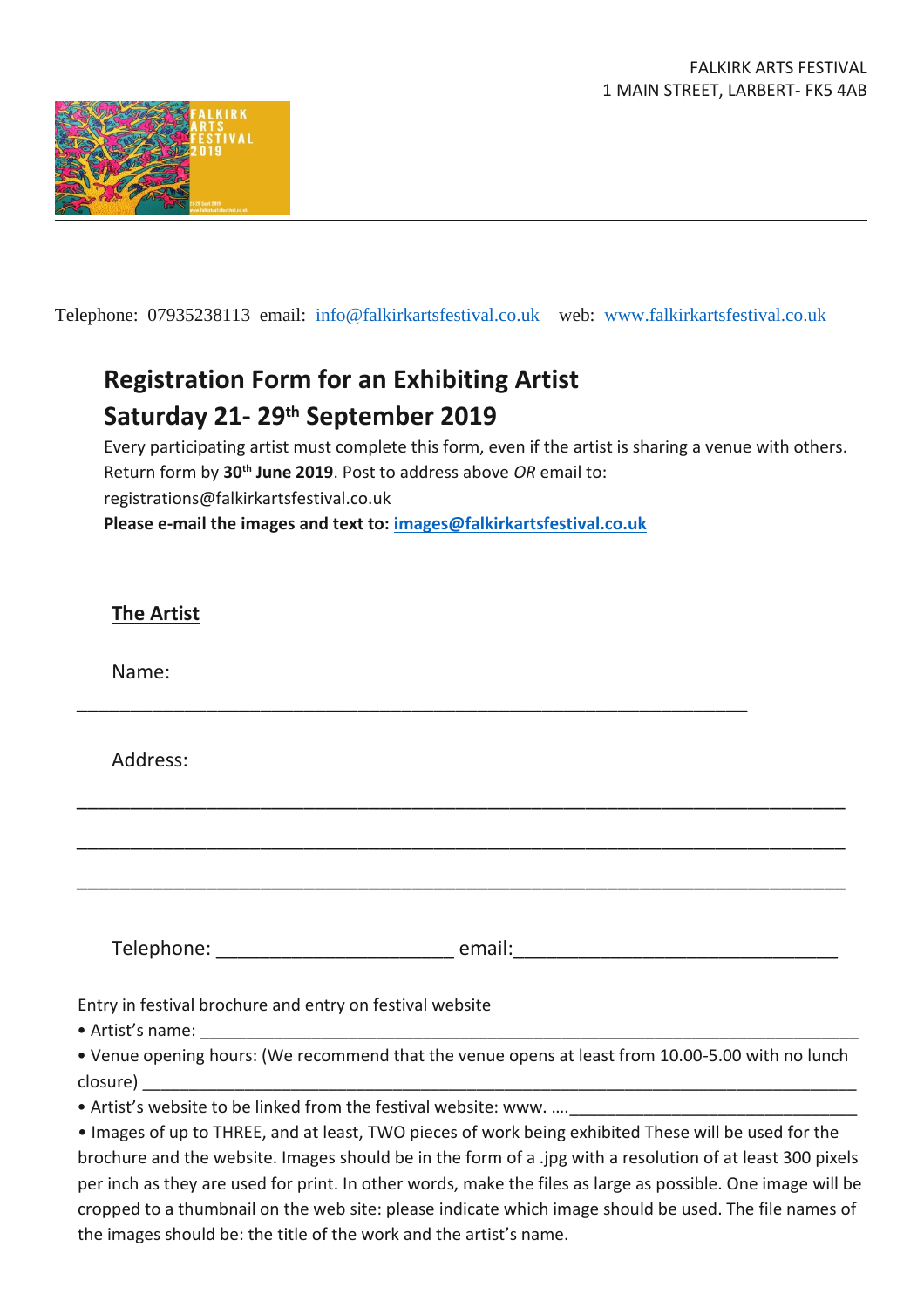

Telephone: 07935238113 email: info@falkirkartsfestival.co.uk web: [www.falkirkartsfestival.co.uk](http://www.falkirkartsfestival.co.uk/)

## **Registration Form for an Exhibiting Artist Saturday 21- 29th September 2019**

Every participating artist must complete this form, even if the artist is sharing a venue with others. Return form by **30th June 2019**. Post to address above *OR* email to: registrations@falkirkartsfestival.co.uk **Please e-mail the images and text to: [images@falkirkartsfestival.co.uk](mailto:images@falkirkartsfestival.co.uk)**

| <b>The Artist</b>                                                                                                                                            |  |
|--------------------------------------------------------------------------------------------------------------------------------------------------------------|--|
| Name:                                                                                                                                                        |  |
| Address:                                                                                                                                                     |  |
|                                                                                                                                                              |  |
|                                                                                                                                                              |  |
|                                                                                                                                                              |  |
| Entry in festival brochure and entry on festival website                                                                                                     |  |
| . Venue opening hours: (We recommend that the venue opens at least from 10.00-5.00 with no lunch                                                             |  |
| • Artist's website to be linked from the festival website: www.  [10] [20] Artist's website to be linked from the festival website: www.  [20] [20] Artist's |  |

• Images of up to THREE, and at least, TWO pieces of work being exhibited These will be used for the brochure and the website. Images should be in the form of a .jpg with a resolution of at least 300 pixels per inch as they are used for print. In other words, make the files as large as possible. One image will be cropped to a thumbnail on the web site: please indicate which image should be used. The file names of the images should be: the title of the work and the artist's name.